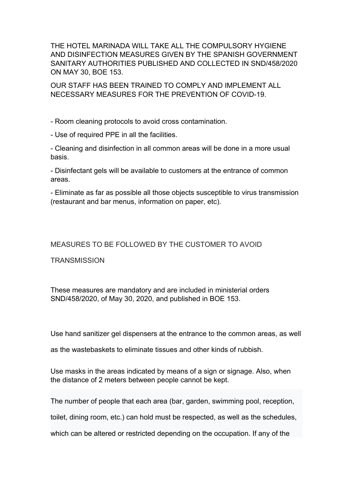THE HOTEL MARINADA WILL TAKE ALL THE COMPULSORY HYGIENE AND DISINFECTION MEASURES GIVEN BY THE SPANISH GOVERNMENT SANITARY AUTHORITIES PUBLISHED AND COLLECTED IN SND/458/2020 ON MAY 30, BOE 153.

OUR STAFF HAS BEEN TRAINED TO COMPLY AND IMPLEMENT ALL NECESSARY MEASURES FOR THE PREVENTION OF COVID-19.

- Room cleaning protocols to avoid cross contamination.

- Use of required PPE in all the facilities.

- Cleaning and disinfection in all common areas will be done in a more usual basis.

- Disinfectant gels will be available to customers at the entrance of common areas.

- Eliminate as far as possible all those objects susceptible to virus transmission (restaurant and bar menus, information on paper, etc).

## MEASURES TO BE FOLLOWED BY THE CUSTOMER TO AVOID

**TRANSMISSION** 

These measures are mandatory and are included in ministerial orders SND/458/2020, of May 30, 2020, and published in BOE 153.

Use hand sanitizer gel dispensers at the entrance to the common areas, as well

as the wastebaskets to eliminate tissues and other kinds of rubbish.

Use masks in the areas indicated by means of a sign or signage. Also, when the distance of 2 meters between people cannot be kept.

The number of people that each area (bar, garden, swimming pool, reception,

toilet, dining room, etc.) can hold must be respected, as well as the schedules,

which can be altered or restricted depending on the occupation. If any of the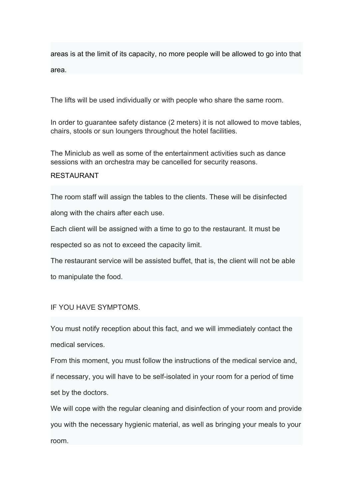areas is at the limit of its capacity, no more people will be allowed to go into that area.

The lifts will be used individually or with people who share the same room.

In order to guarantee safety distance (2 meters) it is not allowed to move tables, chairs, stools or sun loungers throughout the hotel facilities.

The Miniclub as well as some of the entertainment activities such as dance sessions with an orchestra may be cancelled for security reasons.

## RESTAURANT

The room staff will assign the tables to the clients. These will be disinfected

along with the chairs after each use.

Each client will be assigned with a time to go to the restaurant. It must be

respected so as not to exceed the capacity limit.

The restaurant service will be assisted buffet, that is, the client will not be able

to manipulate the food.

## IF YOU HAVE SYMPTOMS.

You must notify reception about this fact, and we will immediately contact the medical services.

From this moment, you must follow the instructions of the medical service and, if necessary, you will have to be self-isolated in your room for a period of time set by the doctors.

We will cope with the regular cleaning and disinfection of your room and provide you with the necessary hygienic material, as well as bringing your meals to your room.